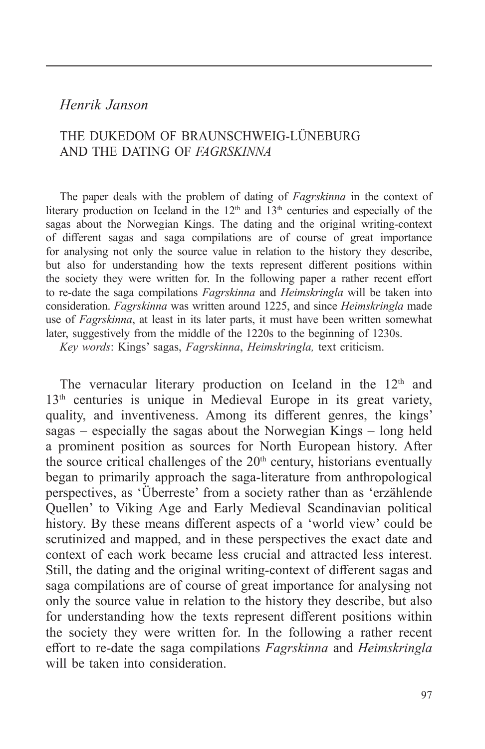# *Henrik Janson*

# THE DUKEDOM OF BRAUNSCHWEIG-LÜNEBURG AND THE DATING OF *FAGRSKINNA*

The paper deals with the problem of dating of *Fagrskinna* in the context of literary production on Iceland in the  $12<sup>th</sup>$  and  $13<sup>th</sup>$  centuries and especially of the sagas about the Norwegian Kings. The dating and the original writing-context of different sagas and saga compilations are of course of great importance for analysing not only the source value in relation to the history they describe, but also for understanding how the texts represent different positions within the society they were written for. In the following paper a rather recent effort to re-date the saga compilations *Fagrskinna* and *Heimskringla* will be taken into consideration. *Fagrskinna* was written around 1225, and since *Heimskringla* made use of *Fagrskinna*, at least in its later parts, it must have been written somewhat later, suggestively from the middle of the 1220s to the beginning of 1230s.

*Key words*: Kings' sagas, *Fagrskinna*, *Heimskringla,* text criticism.

The vernacular literary production on Iceland in the  $12<sup>th</sup>$  and 13<sup>th</sup> centuries is unique in Medieval Europe in its great variety, quality, and inventiveness. Among its different genres, the kings' sagas – especially the sagas about the Norwegian Kings – long held a prominent position as sources for North European history. After the source critical challenges of the  $20<sup>th</sup>$  century, historians eventually began to primarily approach the saga-literature from anthropological perspectives, as 'Überreste' from a society rather than as 'erzählende Quellen' to Viking Age and Early Medieval Scandinavian political history. By these means different aspects of a 'world view' could be scrutinized and mapped, and in these perspectives the exact date and context of each work became less crucial and attracted less interest. Still, the dating and the original writing-context of different sagas and saga compilations are of course of great importance for analysing not only the source value in relation to the history they describe, but also for understanding how the texts represent different positions within the society they were written for. In the following a rather recent effort to re-date the saga compilations *Fagrskinna* and *Heimskringla* will be taken into consideration.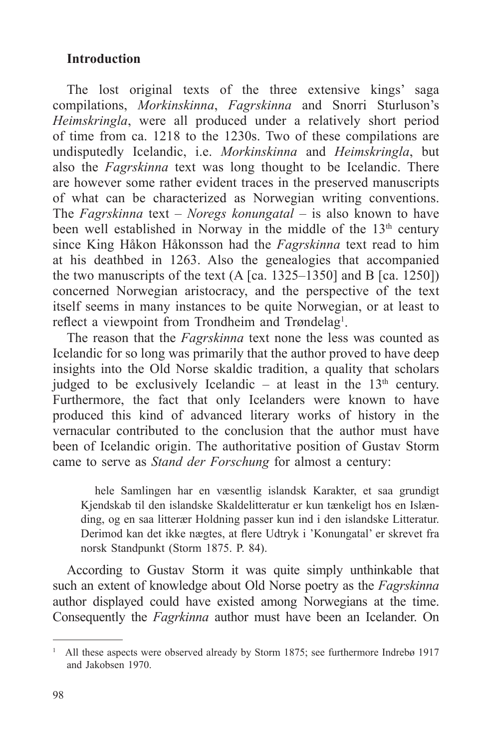# **Introduction**

The lost original texts of the three extensive kings' saga compilations, *Morkinskinna*, *Fagrskinna* and Snorri Sturluson's *Heimskringla*, were all produced under a relatively short period of time from ca. 1218 to the 1230s. Two of these compilations are undisputedly Icelandic, i.e. *Morkinskinna* and *Heimskringla*, but also the *Fagrskinna* text was long thought to be Icelandic. There are however some rather evident traces in the preserved manuscripts of what can be characterized as Norwegian writing conventions. The *Fagrskinna* text – *Noregs konungatal* – is also known to have been well established in Norway in the middle of the  $13<sup>th</sup>$  century since King Håkon Håkonsson had the *Fagrskinna* text read to him at his deathbed in 1263. Also the genealogies that accompanied the two manuscripts of the text  $(A \mid ca. 1325-1350]$  and B  $\lceil ca. 1250 \rceil$ ) concerned Norwegian aristocracy, and the perspective of the text itself seems in many instances to be quite Norwegian, or at least to reflect a viewpoint from Trondheim and Trøndelag<sup>1</sup>.

The reason that the *Fagrskinna* text none the less was counted as Icelandic for so long was primarily that the author proved to have deep insights into the Old Norse skaldic tradition, a quality that scholars judged to be exclusively Icelandic – at least in the  $13<sup>th</sup>$  century. Furthermore, the fact that only Icelanders were known to have produced this kind of advanced literary works of history in the vernacular contributed to the conclusion that the author must have been of Icelandic origin. The authoritative position of Gustav Storm came to serve as *Stand der Forschung* for almost a century:

hele Samlingen har en væsentlig islandsk Karakter, et saa grundigt Kjendskab til den islandske Skaldelitteratur er kun tænkeligt hos en Islænding, og en saa litterær Holdning passer kun ind i den islandske Litteratur. Derimod kan det ikke nægtes, at flere Udtryk i 'Konungatal' er skrevet fra norsk Standpunkt (Storm 1875. P. 84).

According to Gustav Storm it was quite simply unthinkable that such an extent of knowledge about Old Norse poetry as the *Fagrskinna* author displayed could have existed among Norwegians at the time. Consequently the *Fagrkinna* author must have been an Icelander. On

<sup>&</sup>lt;sup>1</sup> All these aspects were observed already by Storm 1875; see furthermore Indrebø 1917 and Jakobsen 1970.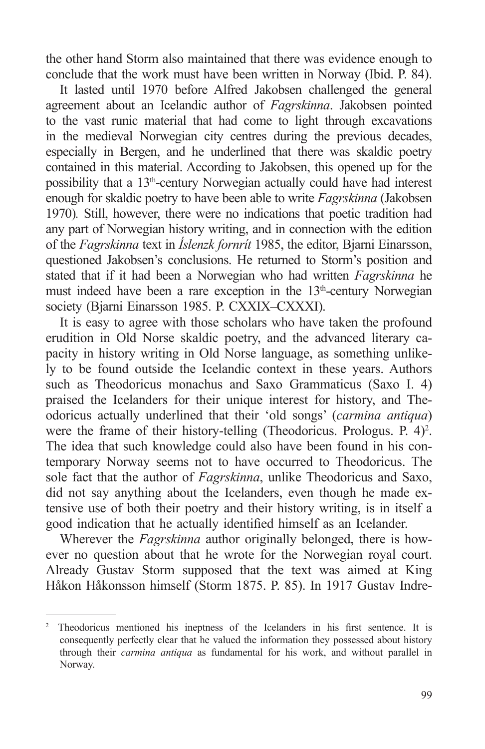the other hand Storm also maintained that there was evidence enough to conclude that the work must have been written in Norway (Ibid. P. 84).

It lasted until 1970 before Alfred Jakobsen challenged the general agreement about an Icelandic author of *Fagrskinna*. Jakobsen pointed to the vast runic material that had come to light through excavations in the medieval Norwegian city centres during the previous decades, especially in Bergen, and he underlined that there was skaldic poetry contained in this material. According to Jakobsen, this opened up for the possibility that a 13th-century Norwegian actually could have had interest enough for skaldic poetry to have been able to write *Fagrskinna* (Jakobsen 1970)*.* Still, however, there were no indications that poetic tradition had any part of Norwegian history writing, and in connection with the edition of the *Fagrskinna* text in *Íslenzk fornrít* 1985, the editor, Bjarni Einarsson, questioned Jakobsen's conclusions. He returned to Storm's position and stated that if it had been a Norwegian who had written *Fagrskinna* he must indeed have been a rare exception in the  $13<sup>th</sup>$ -century Norwegian society (Bjarni Einarsson 1985. P. CXXIX–CXXXI).

It is easy to agree with those scholars who have taken the profound erudition in Old Norse skaldic poetry, and the advanced literary capacity in history writing in Old Norse language, as something unlikely to be found outside the Icelandic context in these years. Authors such as Theodoricus monachus and Saxo Grammaticus (Saxo I. 4) praised the Icelanders for their unique interest for history, and Theodoricus actually underlined that their 'old songs' (*carmina antiqua*) were the frame of their history-telling (Theodoricus. Prologus. P. 4)<sup>2</sup>. The idea that such knowledge could also have been found in his contemporary Norway seems not to have occurred to Theodoricus. The sole fact that the author of *Fagrskinna*, unlike Theodoricus and Saxo, did not say anything about the Icelanders, even though he made extensive use of both their poetry and their history writing, is in itself a good indication that he actually identified himself as an Icelander.

Wherever the *Fagrskinna* author originally belonged, there is however no question about that he wrote for the Norwegian royal court. Already Gustav Storm supposed that the text was aimed at King Håkon Håkonsson himself (Storm 1875. P. 85). In 1917 Gustav Indre-

<sup>&</sup>lt;sup>2</sup> Theodoricus mentioned his ineptness of the Icelanders in his first sentence. It is consequently perfectly clear that he valued the information they possessed about history through their *carmina antiqua* as fundamental for his work, and without parallel in Norway.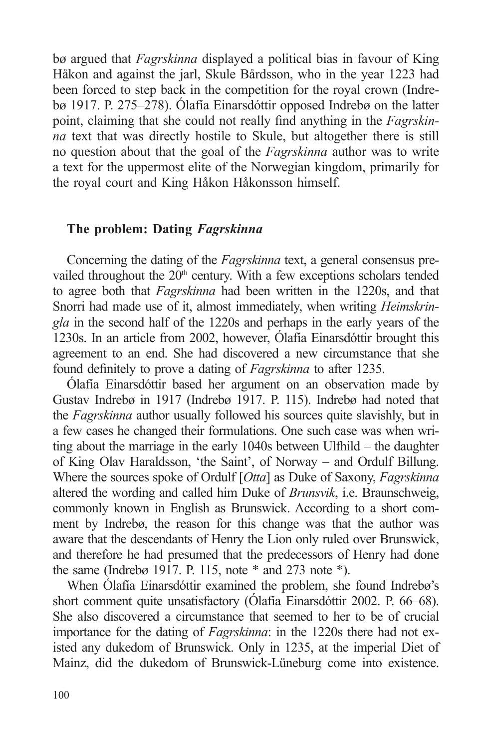bø argued that *Fagrskinna* displayed a political bias in favour of King Håkon and against the jarl, Skule Bårdsson, who in the year 1223 had been forced to step back in the competition for the royal crown (Indrebø 1917. P. 275–278). Ólafía Einarsdóttir opposed Indrebø on the latter point, claiming that she could not really find anything in the *Fagrskinna* text that was directly hostile to Skule, but altogether there is still no question about that the goal of the *Fagrskinna* author was to write a text for the uppermost elite of the Norwegian kingdom, primarily for the royal court and King Håkon Håkonsson himself.

## **The problem: Dating** *Fagrskinna*

Concerning the dating of the *Fagrskinna* text, a general consensus prevailed throughout the 20<sup>th</sup> century. With a few exceptions scholars tended to agree both that *Fagrskinna* had been written in the 1220s, and that Snorri had made use of it, almost immediately, when writing *Heimskringla* in the second half of the 1220s and perhaps in the early years of the 1230s. In an article from 2002, however, Ólafía Einarsdóttir brought this agreement to an end. She had discovered a new circumstance that she found definitely to prove a dating of *Fagrskinna* to after 1235.

Ólafía Einarsdóttir based her argument on an observation made by Gustav Indrebø in 1917 (Indrebø 1917. P. 115). Indrebø had noted that the *Fagrskinna* author usually followed his sources quite slavishly, but in a few cases he changed their formulations. One such case was when writing about the marriage in the early 1040s between Ulfhild – the daughter of King Olav Haraldsson, 'the Saint', of Norway – and Ordulf Billung. Where the sources spoke of Ordulf [*Otta*] as Duke of Saxony, *Fagrskinna* altered the wording and called him Duke of *Brunsvik*, i.e. Braunschweig, commonly known in English as Brunswick. According to a short comment by Indrebø, the reason for this change was that the author was aware that the descendants of Henry the Lion only ruled over Brunswick, and therefore he had presumed that the predecessors of Henry had done the same (Indrebø 1917. P. 115, note \* and 273 note \*).

When Ólafía Einarsdóttir examined the problem, she found Indrebø's short comment quite unsatisfactory (Ólafía Einarsdóttir 2002. P. 66–68). She also discovered a circumstance that seemed to her to be of crucial importance for the dating of *Fagrskinna*: in the 1220s there had not existed any dukedom of Brunswick. Only in 1235, at the imperial Diet of Mainz, did the dukedom of Brunswick-Lüneburg come into existence.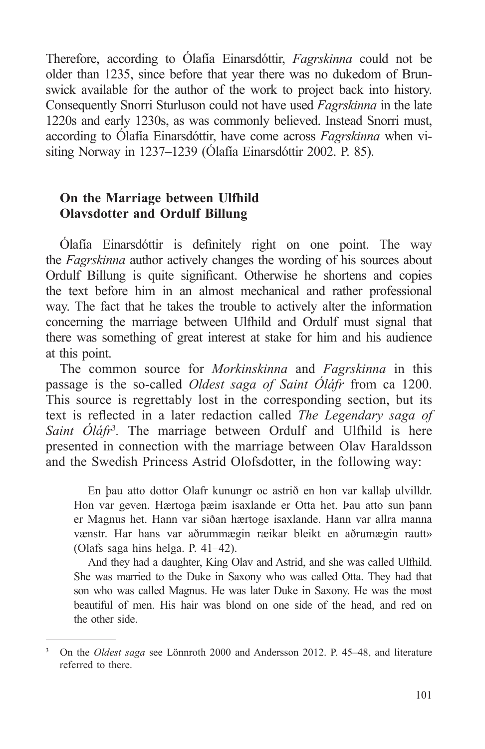Therefore, according to Ólafía Einarsdóttir, *Fagrskinna* could not be older than 1235, since before that year there was no dukedom of Brunswick available for the author of the work to project back into history. Consequently Snorri Sturluson could not have used *Fagrskinna* in the late 1220s and early 1230s, as was commonly believed. Instead Snorri must, according to Ólafía Einarsdóttir, have come across *Fagrskinna* when visiting Norway in 1237–1239 (Ólafía Einarsdóttir 2002. P. 85).

## **On the Marriage between Ulfhild Olavsdotter and Ordulf Billung**

Ólafía Einarsdóttir is definitely right on one point. The way the *Fagrskinna* author actively changes the wording of his sources about Ordulf Billung is quite significant. Otherwise he shortens and copies the text before him in an almost mechanical and rather professional way. The fact that he takes the trouble to actively alter the information concerning the marriage between Ulfhild and Ordulf must signal that there was something of great interest at stake for him and his audience at this point.

The common source for *Morkinskinna* and *Fagrskinna* in this passage is the so-called *Oldest saga of Saint Óláfr* from ca 1200. This source is regrettably lost in the corresponding section, but its text is reflected in a later redaction called *The Legendary saga of*  Saint Oláfr<sup>3</sup>. The marriage between Ordulf and Ulfhild is here presented in connection with the marriage between Olav Haraldsson and the Swedish Princess Astrid Olofsdotter, in the following way:

En þau atto dottor Olafr kunungr oc astrið en hon var kallaþ ulvilldr. Hon var geven. Hærtoga þæim isaxlande er Otta het. Þau atto sun þann er Magnus het. Hann var siðan hærtoge isaxlande. Hann var allra manna vænstr. Har hans var aðrummægin ræikar bleikt en aðrumægin rautt» (Olafs saga hins helga. P. 41–42).

And they had a daughter, King Olav and Astrid, and she was called Ulfhild. She was married to the Duke in Saxony who was called Otta. They had that son who was called Magnus. He was later Duke in Saxony. He was the most beautiful of men. His hair was blond on one side of the head, and red on the other side.

<sup>3</sup> On the *Oldest saga* see Lönnroth 2000 and Andersson 2012. P. 45–48, and literature referred to there.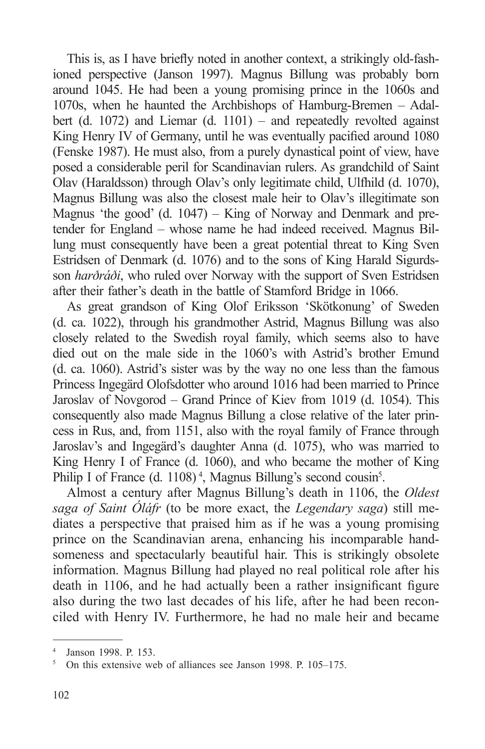This is, as I have briefly noted in another context, a strikingly old-fashioned perspective (Janson 1997). Magnus Billung was probably born around 1045. He had been a young promising prince in the 1060s and 1070s, when he haunted the Archbishops of Hamburg-Bremen – Adalbert (d. 1072) and Liemar (d. 1101) – and repeatedly revolted against King Henry IV of Germany, until he was eventually pacified around 1080 (Fenske 1987). He must also, from a purely dynastical point of view, have posed a considerable peril for Scandinavian rulers. As grandchild of Saint Olav (Haraldsson) through Olav's only legitimate child, Ulfhild (d. 1070), Magnus Billung was also the closest male heir to Olav's illegitimate son Magnus 'the good' (d. 1047) – King of Norway and Denmark and pretender for England – whose name he had indeed received. Magnus Billung must consequently have been a great potential threat to King Sven Estridsen of Denmark (d. 1076) and to the sons of King Harald Sigurdsson *harðráði*, who ruled over Norway with the support of Sven Estridsen after their father's death in the battle of Stamford Bridge in 1066.

As great grandson of King Olof Eriksson 'Skötkonung' of Sweden (d. ca. 1022), through his grandmother Astrid, Magnus Billung was also closely related to the Swedish royal family, which seems also to have died out on the male side in the 1060's with Astrid's brother Emund (d. ca. 1060). Astrid's sister was by the way no one less than the famous Princess Ingegärd Olofsdotter who around 1016 had been married to Prince Jaroslav of Novgorod – Grand Prince of Kiev from 1019 (d. 1054). This consequently also made Magnus Billung a close relative of the later princess in Rus, and, from 1151, also with the royal family of France through Jaroslav's and Ingegärd's daughter Anna (d. 1075), who was married to King Henry I of France (d. 1060), and who became the mother of King Philip I of France (d. 1108)<sup>4</sup>, Magnus Billung's second cousin<sup>5</sup>.

Almost a century after Magnus Billung's death in 1106, the *Oldest saga of Saint Óláfr* (to be more exact, the *Legendary saga*) still mediates a perspective that praised him as if he was a young promising prince on the Scandinavian arena, enhancing his incomparable handsomeness and spectacularly beautiful hair. This is strikingly obsolete information. Magnus Billung had played no real political role after his death in 1106, and he had actually been a rather insignificant figure also during the two last decades of his life, after he had been reconciled with Henry IV. Furthermore, he had no male heir and became

<sup>4</sup> Janson 1998. P. 153.

<sup>5</sup> On this extensive web of alliances see Janson 1998. P. 105–175.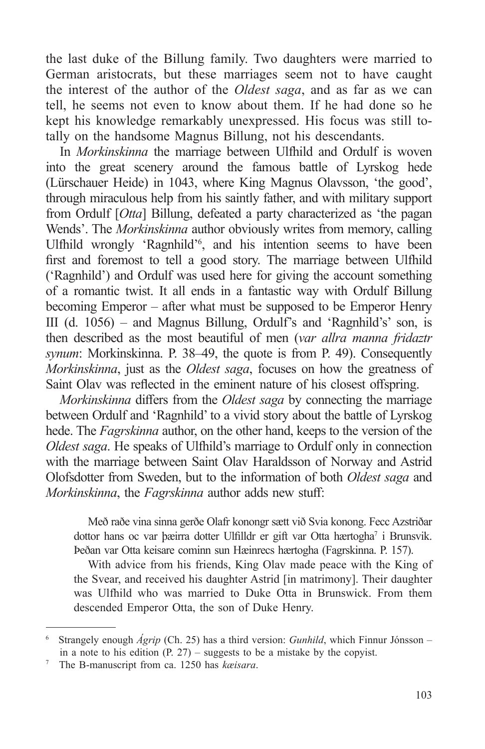the last duke of the Billung family. Two daughters were married to German aristocrats, but these marriages seem not to have caught the interest of the author of the *Oldest saga*, and as far as we can tell, he seems not even to know about them. If he had done so he kept his knowledge remarkably unexpressed. His focus was still totally on the handsome Magnus Billung, not his descendants.

In *Morkinskinna* the marriage between Ulfhild and Ordulf is woven into the great scenery around the famous battle of Lyrskog hede (Lürschauer Heide) in 1043, where King Magnus Olavsson, 'the good', through miraculous help from his saintly father, and with military support from Ordulf [*Otta*] Billung, defeated a party characterized as 'the pagan Wends'. The *Morkinskinna* author obviously writes from memory, calling Ulfhild wrongly 'Ragnhild'<sup>6</sup> , and his intention seems to have been first and foremost to tell a good story. The marriage between Ulfhild ('Ragnhild') and Ordulf was used here for giving the account something of a romantic twist. It all ends in a fantastic way with Ordulf Billung becoming Emperor – after what must be supposed to be Emperor Henry III (d. 1056) – and Magnus Billung, Ordulf's and 'Ragnhild's' son, is then described as the most beautiful of men (*var allra manna fridaztr synum*: Morkinskinna. P. 38–49, the quote is from P. 49). Consequently *Morkinskinna*, just as the *Oldest saga*, focuses on how the greatness of Saint Olav was reflected in the eminent nature of his closest offspring.

*Morkinskinna* differs from the *Oldest saga* by connecting the marriage between Ordulf and 'Ragnhild' to a vivid story about the battle of Lyrskog hede. The *Fagrskinna* author, on the other hand, keeps to the version of the *Oldest saga*. He speaks of Ulfhild's marriage to Ordulf only in connection with the marriage between Saint Olav Haraldsson of Norway and Astrid Olofsdotter from Sweden, but to the information of both *Oldest saga* and *Morkinskinna*, the *Fagrskinna* author adds new stuff:

Með raðe vina sinna gerðe Olafr konongr sætt við Svia konong. Fecc Azstriðar dottor hans oc var þæirra dotter Ulfilldr er gift var Otta hærtogha<sup>7</sup> i Brunsvik. Þeðan var Otta keisare cominn sun Hæinrecs hærtogha (Fagrskinna. P. 157).

With advice from his friends, King Olav made peace with the King of the Svear, and received his daughter Astrid [in matrimony]. Their daughter was Ulfhild who was married to Duke Otta in Brunswick. From them descended Emperor Otta, the son of Duke Henry.

<sup>6</sup> Strangely enough *Ágrip* (Ch. 25) has a third version: *Gunhild*, which Finnur Jónsson – in a note to his edition  $(P. 27)$  – suggests to be a mistake by the copyist.

<sup>7</sup> The B-manuscript from ca. 1250 has *kæisara*.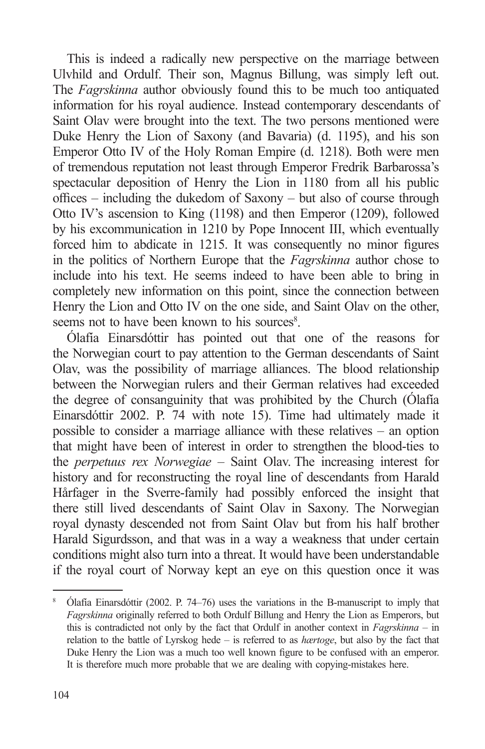This is indeed a radically new perspective on the marriage between Ulvhild and Ordulf. Their son, Magnus Billung, was simply left out. The *Fagrskinna* author obviously found this to be much too antiquated information for his royal audience. Instead contemporary descendants of Saint Olav were brought into the text. The two persons mentioned were Duke Henry the Lion of Saxony (and Bavaria) (d. 1195), and his son Emperor Otto IV of the Holy Roman Empire (d. 1218). Both were men of tremendous reputation not least through Emperor Fredrik Barbarossa's spectacular deposition of Henry the Lion in 1180 from all his public offices – including the dukedom of Saxony – but also of course through Otto IV's ascension to King (1198) and then Emperor (1209), followed by his excommunication in 1210 by Pope Innocent III, which eventually forced him to abdicate in 1215. It was consequently no minor figures in the politics of Northern Europe that the *Fagrskinna* author chose to include into his text. He seems indeed to have been able to bring in completely new information on this point, since the connection between Henry the Lion and Otto IV on the one side, and Saint Olav on the other, seems not to have been known to his sources<sup>8</sup>.

Ólafía Einarsdóttir has pointed out that one of the reasons for the Norwegian court to pay attention to the German descendants of Saint Olav, was the possibility of marriage alliances. The blood relationship between the Norwegian rulers and their German relatives had exceeded the degree of consanguinity that was prohibited by the Church (Ólafía Einarsdóttir 2002. P. 74 with note 15). Time had ultimately made it possible to consider a marriage alliance with these relatives – an option that might have been of interest in order to strengthen the blood-ties to the *perpetuus rex Norwegiae* – Saint Olav. The increasing interest for history and for reconstructing the royal line of descendants from Harald Hårfager in the Sverre-family had possibly enforced the insight that there still lived descendants of Saint Olav in Saxony. The Norwegian royal dynasty descended not from Saint Olav but from his half brother Harald Sigurdsson, and that was in a way a weakness that under certain conditions might also turn into a threat. It would have been understandable if the royal court of Norway kept an eye on this question once it was

<sup>&</sup>lt;sup>8</sup> Ólafía Einarsdóttir (2002. P. 74–76) uses the variations in the B-manuscript to imply that *Fagrskinna* originally referred to both Ordulf Billung and Henry the Lion as Emperors, but this is contradicted not only by the fact that Ordulf in another context in *Fagrskinna* – in relation to the battle of Lyrskog hede – is referred to as *hærtoge*, but also by the fact that Duke Henry the Lion was a much too well known figure to be confused with an emperor. It is therefore much more probable that we are dealing with copying-mistakes here.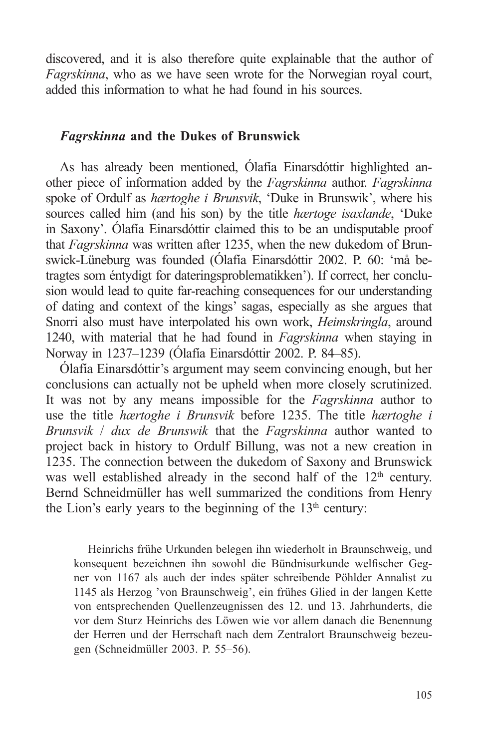discovered, and it is also therefore quite explainable that the author of *Fagrskinna*, who as we have seen wrote for the Norwegian royal court, added this information to what he had found in his sources.

#### *Fagrskinna* **and the Dukes of Brunswick**

As has already been mentioned, Ólafía Einarsdóttir highlighted another piece of information added by the *Fagrskinna* author. *Fagrskinna* spoke of Ordulf as *hærtoghe i Brunsvik*, 'Duke in Brunswik', where his sources called him (and his son) by the title *hærtoge isaxlande*, 'Duke in Saxony'. Ólafía Einarsdóttir claimed this to be an undisputable proof that *Fagrskinna* was written after 1235, when the new dukedom of Brunswick-Lüneburg was founded (Ólafía Einarsdóttir 2002. P. 60: 'må betragtes som éntydigt for dateringsproblematikken'). If correct, her conclusion would lead to quite far-reaching consequences for our understanding of dating and context of the kings' sagas, especially as she argues that Snorri also must have interpolated his own work, *Heimskringla*, around 1240, with material that he had found in *Fagrskinna* when staying in Norway in 1237–1239 (Ólafía Einarsdóttir 2002. P. 84–85).

Ólafía Einarsdóttir's argument may seem convincing enough, but her conclusions can actually not be upheld when more closely scrutinized. It was not by any means impossible for the *Fagrskinna* author to use the title *hærtoghe i Brunsvik* before 1235. The title *hærtoghe i Brunsvik* / *dux de Brunswik* that the *Fagrskinna* author wanted to project back in history to Ordulf Billung, was not a new creation in 1235. The connection between the dukedom of Saxony and Brunswick was well established already in the second half of the  $12<sup>th</sup>$  century. Bernd Schneidmüller has well summarized the conditions from Henry the Lion's early years to the beginning of the  $13<sup>th</sup>$  century:

Heinrichs frühe Urkunden belegen ihn wiederholt in Braunschweig, und konsequent bezeichnen ihn sowohl die Bündnisurkunde welfischer Gegner von 1167 als auch der indes später schreibende Pöhlder Annalist zu 1145 als Herzog 'von Braunschweig', ein frühes Glied in der langen Kette von entsprechenden Quellenzeugnissen des 12. und 13. Jahrhunderts, die vor dem Sturz Heinrichs des Löwen wie vor allem danach die Benennung der Herren und der Herrschaft nach dem Zentralort Braunschweig bezeugen (Schneidmüller 2003. P. 55–56).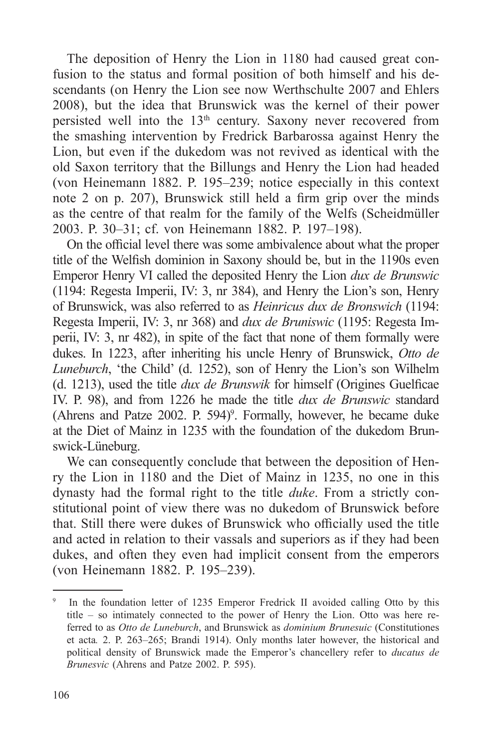The deposition of Henry the Lion in 1180 had caused great confusion to the status and formal position of both himself and his descendants (on Henry the Lion see now Werthschulte 2007 and Ehlers 2008), but the idea that Brunswick was the kernel of their power persisted well into the 13th century. Saxony never recovered from the smashing intervention by Fredrick Barbarossa against Henry the Lion, but even if the dukedom was not revived as identical with the old Saxon territory that the Billungs and Henry the Lion had headed (von Heinemann 1882. P. 195–239; notice especially in this context note 2 on p. 207), Brunswick still held a firm grip over the minds as the centre of that realm for the family of the Welfs (Scheidmüller 2003. P. 30–31; cf. von Heinemann 1882. P. 197–198).

On the official level there was some ambivalence about what the proper title of the Welfish dominion in Saxony should be, but in the 1190s even Emperor Henry VI called the deposited Henry the Lion *dux de Brunswic* (1194: Regesta Imperii, IV: 3, nr 384), and Henry the Lion's son, Henry of Brunswick, was also referred to as *Heinricus dux de Bronswich* (1194: Regesta Imperii, IV: 3, nr 368) and *dux de Bruniswic* (1195: Regesta Imperii, IV: 3, nr 482), in spite of the fact that none of them formally were dukes. In 1223, after inheriting his uncle Henry of Brunswick, *Otto de Luneburch*, 'the Child' (d. 1252), son of Henry the Lion's son Wilhelm (d. 1213), used the title *dux de Brunswik* for himself (Origines Guelficae IV. P. 98), and from 1226 he made the title *dux de Brunswic* standard (Ahrens and Patze 2002. P. 594)<sup>9</sup>. Formally, however, he became duke at the Diet of Mainz in 1235 with the foundation of the dukedom Brunswick-Lüneburg.

We can consequently conclude that between the deposition of Henry the Lion in 1180 and the Diet of Mainz in 1235, no one in this dynasty had the formal right to the title *duke*. From a strictly constitutional point of view there was no dukedom of Brunswick before that. Still there were dukes of Brunswick who officially used the title and acted in relation to their vassals and superiors as if they had been dukes, and often they even had implicit consent from the emperors (von Heinemann 1882. P. 195–239).

In the foundation letter of 1235 Emperor Fredrick II avoided calling Otto by this title – so intimately connected to the power of Henry the Lion. Otto was here referred to as *Otto de Luneburch*, and Brunswick as *dominium Brunesuic* (Constitutiones et acta*.* 2. P. 263–265; Brandi 1914). Only months later however, the historical and political density of Brunswick made the Emperor's chancellery refer to *ducatus de Brunesvic* (Ahrens and Patze 2002. P. 595).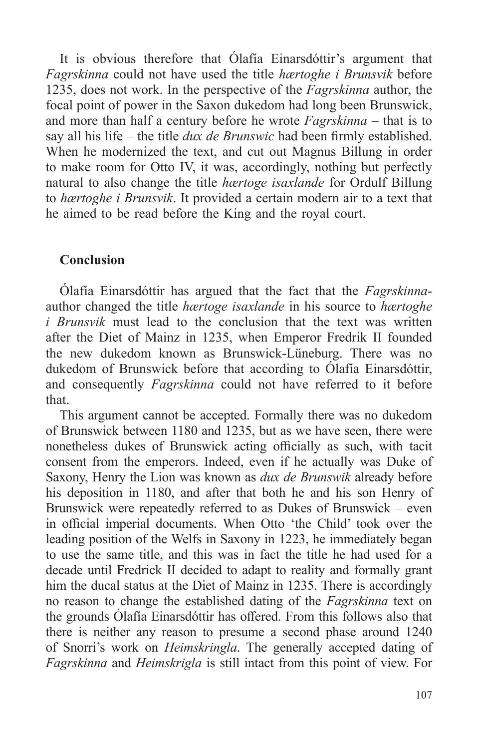It is obvious therefore that Ólafía Einarsdóttir's argument that *Fagrskinna* could not have used the title *hærtoghe i Brunsvik* before 1235, does not work. In the perspective of the *Fagrskinna* author, the focal point of power in the Saxon dukedom had long been Brunswick, and more than half a century before he wrote *Fagrskinna* – that is to say all his life – the title *dux de Brunswic* had been firmly established. When he modernized the text, and cut out Magnus Billung in order to make room for Otto IV, it was, accordingly, nothing but perfectly natural to also change the title *hærtoge isaxlande* for Ordulf Billung to *hærtoghe i Brunsvik*. It provided a certain modern air to a text that he aimed to be read before the King and the royal court.

#### **Conclusion**

Ólafía Einarsdóttir has argued that the fact that the *Fagrskinna*author changed the title *hærtoge isaxlande* in his source to *hærtoghe i Brunsvik* must lead to the conclusion that the text was written after the Diet of Mainz in 1235, when Emperor Fredrik II founded the new dukedom known as Brunswick-Lüneburg. There was no dukedom of Brunswick before that according to Ólafía Einarsdóttir, and consequently *Fagrskinna* could not have referred to it before that.

This argument cannot be accepted. Formally there was no dukedom of Brunswick between 1180 and 1235, but as we have seen, there were nonetheless dukes of Brunswick acting officially as such, with tacit consent from the emperors. Indeed, even if he actually was Duke of Saxony, Henry the Lion was known as *dux de Brunswik* already before his deposition in 1180, and after that both he and his son Henry of Brunswick were repeatedly referred to as Dukes of Brunswick – even in official imperial documents. When Otto 'the Child' took over the leading position of the Welfs in Saxony in 1223, he immediately began to use the same title, and this was in fact the title he had used for a decade until Fredrick II decided to adapt to reality and formally grant him the ducal status at the Diet of Mainz in 1235. There is accordingly no reason to change the established dating of the *Fagrskinna* text on the grounds Ólafía Einarsdóttir has offered. From this follows also that there is neither any reason to presume a second phase around 1240 of Snorri's work on *Heimskringla*. The generally accepted dating of *Fagrskinna* and *Heimskrigla* is still intact from this point of view. For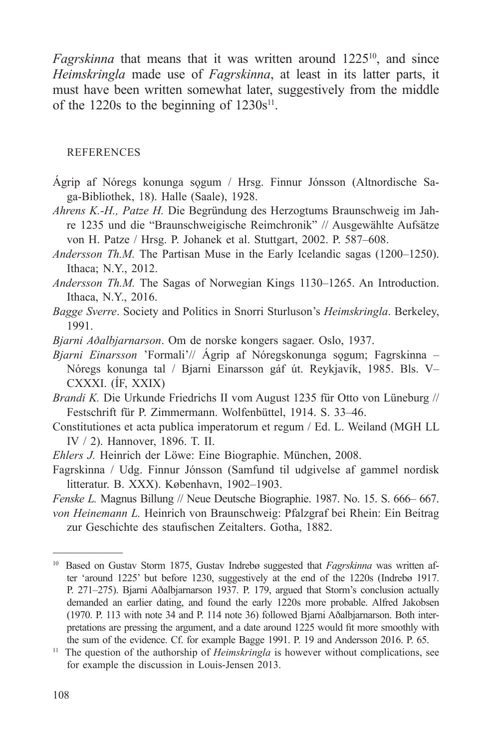*Fagrskinna* that means that it was written around 1225<sup>10</sup>, and since *Heimskringla* made use of *Fagrskinna*, at least in its latter parts, it must have been written somewhat later, suggestively from the middle of the 1220s to the beginning of  $1230s^{11}$ .

#### REFERENCES

- Ágrip af Nóregs konunga sogum / Hrsg. Finnur Jónsson (Altnordische Saga-Bibliothek, 18). Halle (Saale), 1928.
- *Ahrens K.-H., Patze H.* Die Begründung des Herzogtums Braunschweig im Jahre 1235 und die "Braunschweigische Reimchronik" // Ausgewählte Aufsätze von H. Patze / Hrsg. P. Johanek et al. Stuttgart, 2002. P. 587–608.
- *Andersson Th.M.* The Partisan Muse in the Early Icelandic sagas (1200–1250). Ithaca; N.Y., 2012.
- *Andersson Th.M.* The Sagas of Norwegian Kings 1130–1265. An Introduction. Ithaca, N.Y., 2016.
- *Bagge Sverre*. Society and Politics in Snorri Sturluson's *Heimskringla*. Berkeley, 1991.
- *Bjarni Aðalbjarnarson*. Om de norske kongers sagaer. Oslo, 1937.
- *Bjarni Einarsson* 'Formali'// Ágrip af Nóregskonunga sogum; Fagrskinna Nóregs konunga tal / Bjarni Einarsson gáf út. Reykjavík, 1985. Bls. V– CXXXI. (ÍF, XXIX)
- *Brandi K.* Die Urkunde Friedrichs II vom August 1235 für Otto von Lüneburg // Festschrift für P. Zimmermann. Wolfenbüttel, 1914. S. 33–46.
- Constitutiones et acta publica imperatorum et regum / Ed. L. Weiland (MGH LL IV / 2). Hannover, 1896. T. II.
- *Ehlers J.* Heinrich der Löwe: Eine Biographie. München, 2008.
- Fagrskinna / Udg. Finnur Jónsson (Samfund til udgivelse af gammel nordisk litteratur. B. XXX). København, 1902–1903.
- *Fenske L.* Magnus Billung // Neue Deutsche Biographie. 1987. No. 15. S. 666– 667.
- *von Heinemann L.* Heinrich von Braunschweig: Pfalzgraf bei Rhein: Ein Beitrag zur Geschichte des staufischen Zeitalters. Gotha, 1882.

<sup>&</sup>lt;sup>10</sup> Based on Gustav Storm 1875, Gustav Indrebø suggested that *Fagrskinna* was written after 'around 1225' but before 1230, suggestively at the end of the 1220s (Indrebø 1917. P. 271–275). Bjarni Aðalbjarnarson 1937. P. 179, argued that Storm's conclusion actually demanded an earlier dating, and found the early 1220s more probable. Alfred Jakobsen (1970. P. 113 with note 34 and P. 114 note 36) followed Bjarni Aðalbjarnarson. Both interpretations are pressing the argument, and a date around 1225 would fit more smoothly with the sum of the evidence. Cf. for example Bagge 1991. P. 19 and Andersson 2016. P. 65.

<sup>&</sup>lt;sup>11</sup> The question of the authorship of *Heimskringla* is however without complications, see for example the discussion in Louis-Jensen 2013.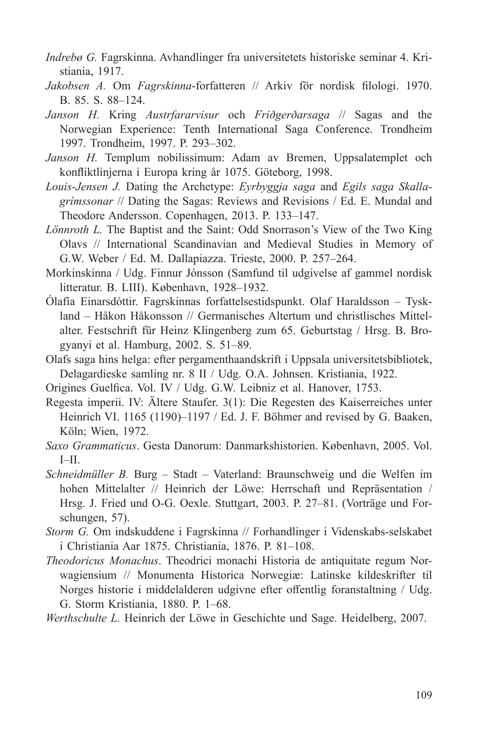- *Indrebø G.* Fagrskinna. Avhandlinger fra universitetets historiske seminar 4. Kristiania, 1917.
- *Jakobsen A.* Om *Fagrskinna*-forfatteren // Arkiv för nordisk filologi. 1970. B. 85. S. 88–124.
- *Janson H.* Kring *Austrfararvisur* och *Friðgerðarsaga* // Sagas and the Norwegian Experience: Tenth International Saga Conference. Trondheim 1997. Trondheim, 1997. P. 293–302.
- *Janson H.* Templum nobilissimum: Adam av Bremen, Uppsalatemplet och konfliktlinjerna i Europa kring år 1075. Göteborg, 1998.
- *Louis-Jensen J.* Dating the Archetype: *Eyrbyggja saga* and *Egils saga Skallagrímssonar* // Dating the Sagas: Reviews and Revisions / Ed. E. Mundal and Theodore Andersson. Copenhagen, 2013. P. 133–147.
- *Lönnroth L.* The Baptist and the Saint: Odd Snorrason's View of the Two King Olavs // International Scandinavian and Medieval Studies in Memory of G.W. Weber / Ed. M. Dallapiazza. Trieste, 2000. P. 257–264.
- Morkinskinna / Udg. Finnur Jónsson (Samfund til udgivelse af gammel nordisk litteratur. B. LIII). København, 1928–1932.
- Ólafía Einarsdóttir. Fagrskinnas forfattelsestidspunkt. Olaf Haraldsson Tyskland – Håkon Håkonsson // Germanisches Altertum und christlisches Mittelalter. Festschrift für Heinz Klingenberg zum 65. Geburtstag / Hrsg. B. Brogyanyi et al. Hamburg, 2002. S. 51–89.
- Olafs saga hins helga: efter pergamenthaandskrift i Uppsala universitetsbibliotek, Delagardieske samling nr. 8 II / Udg. O.A. Johnsen. Kristiania, 1922.
- Origines Guelfica. Vol. IV / Udg. G.W. Leibniz et al. Hanover, 1753.
- Regesta imperii. IV: Ältere Staufer. 3(1): Die Regesten des Kaiserreiches unter Heinrich VI. 1165 (1190)–1197 / Ed. J. F. Böhmer and revised by G. Baaken, Köln; Wien, 1972.
- *Saxo Grammaticus*. Gesta Danorum: Danmarkshistorien. København, 2005. Vol. I–II.
- *Schneidmüller B.* Burg Stadt Vaterland: Braunschweig und die Welfen im hohen Mittelalter // Heinrich der Löwe: Herrschaft und Repräsentation / Hrsg. J. Fried und O-G. Oexle. Stuttgart, 2003. P. 27–81. (Vorträge und Forschungen, 57).
- *Storm G.* Om indskuddene i Fagrskinna // Forhandlinger i Videnskabs-selskabet i Christiania Aar 1875. Christiania, 1876. P. 81–108.
- *Theodoricus Monachus*. Theodrici monachi Historia de antiquitate regum Norwagiensium // Monumenta Historica Norwegiæ: Latinske kildeskrifter til Norges historie i middelalderen udgivne efter offentlig foranstaltning / Udg. G. Storm Kristiania, 1880. P. 1–68.

*Werthschulte L.* Heinrich der Löwe in Geschichte und Sage. Heidelberg, 2007.